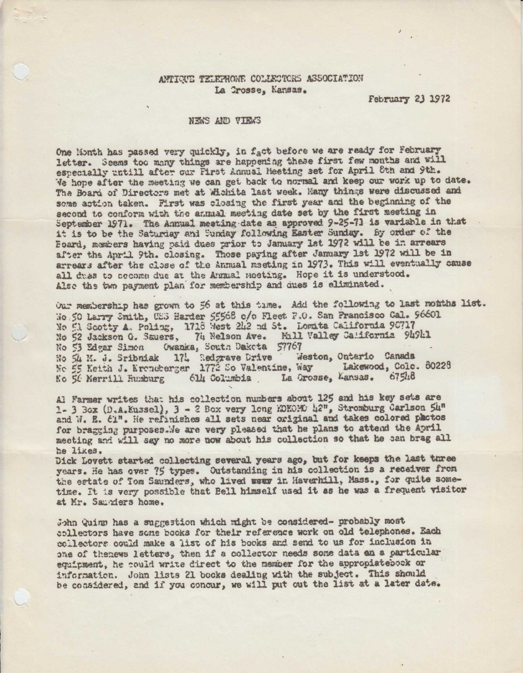## ANTIQUE TELEPHONE COLLECTORS ASSOCIATION La Crosse, Kansas.

February 23 1972

# NEWS AND VIEWS

One Month has passed very quickly, in fact before we are ready for February letter. Seems too many things are happening these first few months and will especially untill after our First Annual Meeting set for April 8th and 9th. We hope after the meeting we can get back to normal and keep our work up to date. The Board of Directors met at Wichita last week. Many things were discussed and some action taken. First was closing the first year and the beginning of the second to conform with the annual meeting date set by the first meeting in September 1971. The Annual meeting date as approved 9-25-71 is variable in that it is to be the Saturday and Sunday following Easter Sunday. By order of the Board, members having paid dues prior to January 1st 1972 will be in arrears after the April 9th. closing. Those paying after January 1st 1972 will be in arrears after the close of the Annual meeting in 1973. This will eventually cause all dues to secome due at the Annual meeting. Hope it is understood. Also the two payment plan for membership and ques is eliminated.

Our membership has grown to 56 at this time. Add the following to last months list. No.50 Larry Smith, USS Harder 55568 c/o Fleet P.O. San Francisco Cal. 96601 No El Scotty A. Poling, 1718 West 242 nd St. Lomita California 90717 No 52 Jackson G. Sauers, 74 Nelson Ave. Mill Valley California 94941 Owanka, South Dakota 57767 No 53 Edgar Simon Weston, Ontario Canada No 54 M. J. Sribniak 174 Redgrave Drive No 55 Keith J. Kroneberger 1772 So Valentine, Way Lakewood, Cole. 80228 La Orosse, Lansas. 67548 No 56 Merrill Humburg 614 Columbia

Al Farmer writes that his collection numbers about 125 and his key sets are 1- 3 Box (D.A.Kussel), 3 - 2 Box very long KOKOMO 42", Stromburg Carlson 54" and W. E. 61". He refinishes all sets near original and takes colored plactos for bragging purposes. We are very pleased that he plans to attend the April meeting and will say no more now about his collection so that he can brag all he likes.

Dick Lovett started collecting several years ago, but for keeps the last turee years. He has over 75 types. Outstanding in his collection is a receiver from the estate of Tom Saunders, who lived wear in Haverhill, Mass., for quite sometime. It is very possible that Bell himself used it as he was a frequent visitor at Mr. Samwiers home.

John Quinn has a suggestion which might be considered- probably most collectors have some books for their reference work on old telephones. Each collectors could make a list of his books and send to us for inclusion in one of thenews letters, then if a collector needs some data an a particular equipment, he could write direct to the member for the appropiatebook or information. John lists 21 books dealing with the subject. This should be considered, and if you concur, we will put out the list at a later date.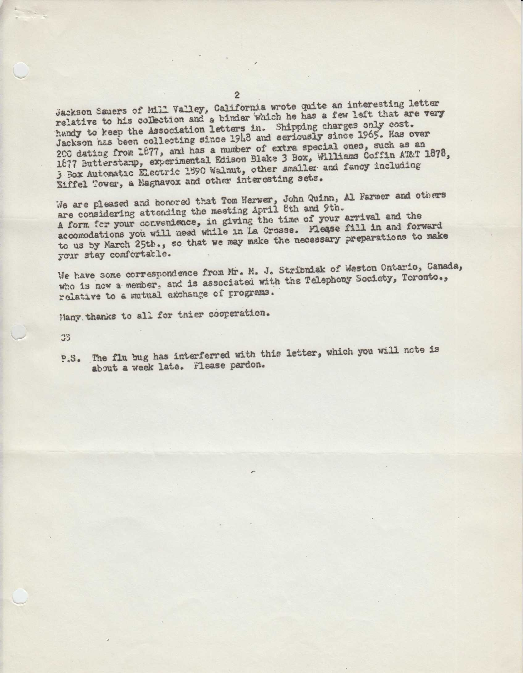Jackson Sauers of Mill Valley, California wrote quite an interesting letter relative to his collection and a birder which he has a few left that are very handy to keep the Association letters in. Shipping charges only cost. Jackson has been collecting since 1918 and seriously since 1965. Has over 200 dating from 1677, and has a mumber of extra special ones, such as an 1678, 1677 Butterstamp, experimental Edison Blake 3 Box, Williams Coffin AT 3 Box Automatic Electric 1590 Walnut, other smaller and fancy including Eiffel Tower, a Magnavox and other interesting sets.

are considering attending the meeting April 8th and 9th. A form for your convenience, in giving the time of your arrival and torward<br>accomodations you will need while in La Crosse. Please fill in and forward accomodations you will need while in the season preparations to make We are pleased and honored that Tom Herwer, John Quinn, Al Farmer and others A form for your convenience, in giving the time of your arrival and the

your stay comfortatle.<br>We have some correspondence from Mr. M. J. Stribniak of Weston Ontario, Canada, who is new a member, and is associated with the Telephony Society, Toronto., relative to a mutual exchange of programs.

Many. thanks to all for thier cooperation.

33

P.S. The flu bug has interferred with this letter, which you will note is about a week late. Flease pardon.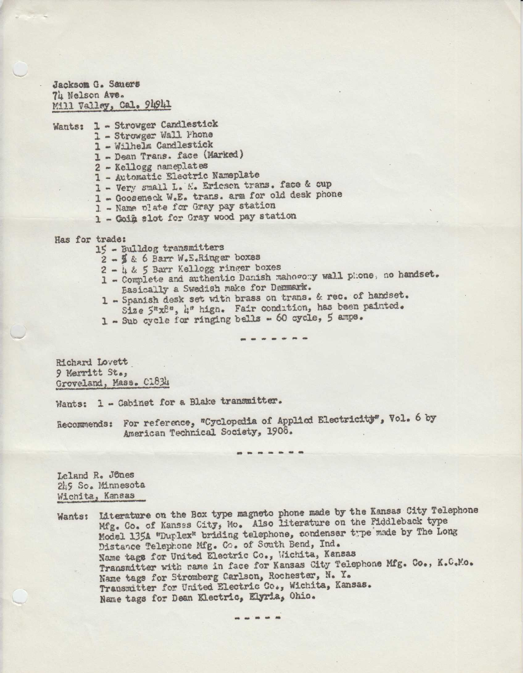Jackson G. Sauers 74 Nelson Ave. Mill Valley, Cal. 94941

Wants: 1 - Strowger Candlestick

- 1 Strowger Wall Phone
- 1 Wilhelm Candlestick
- 1 Dean Trans. face (Marked)
- 2 Kellogg nameplates
- 1 Automatic Electric Nameplate
- 1 Very small L. M. Ericson trans. face & cup
- 1 Gooseneck W.E. trans. arm for old desk phone
- 1 Name olate for Gray pay station
- 1 Goià slot for Gray wood pay station

Has for trade:

- 15 Bulldog transmitters
	- $2 266$  Barr W.E.Ringer boxes<br> $2 485$  Barr Kellogg ringer boxes
	-
	- 2 Complete and authentic Danish mahogony wall phone, no handset.<br>Easically a Swedish make for Denmark.<br>1 Spanish desk set with brass on trans. & rec. of handset.
	- Size  $5^n x 8^n$ , 4" high. Fair condition, has been painted.
	- 1 Sub cycle for ringing bells 60 cycle, 5 amps.

Richard Lovett 9 Merritt St., Groveland, Mass. C1834

Wants: 1 - Gabinet for a Blake transmitter.

Recommends: For reference, "Cyclopedia of Applied Electricity", Vol. 6 by American Technical Society, 1908.

Leland R. Jenes 2149 So. Minnesota Wichita, Kansas

Wants: Literature on the Box type magneto phone made by the Kansas City Telephone<br>Mfg. Co. of Kansas City, Mo. Also literature on the Piddleback type<br>Model 1354 "Duplex" briding telephone, condenser type made by The Long<br>D

---